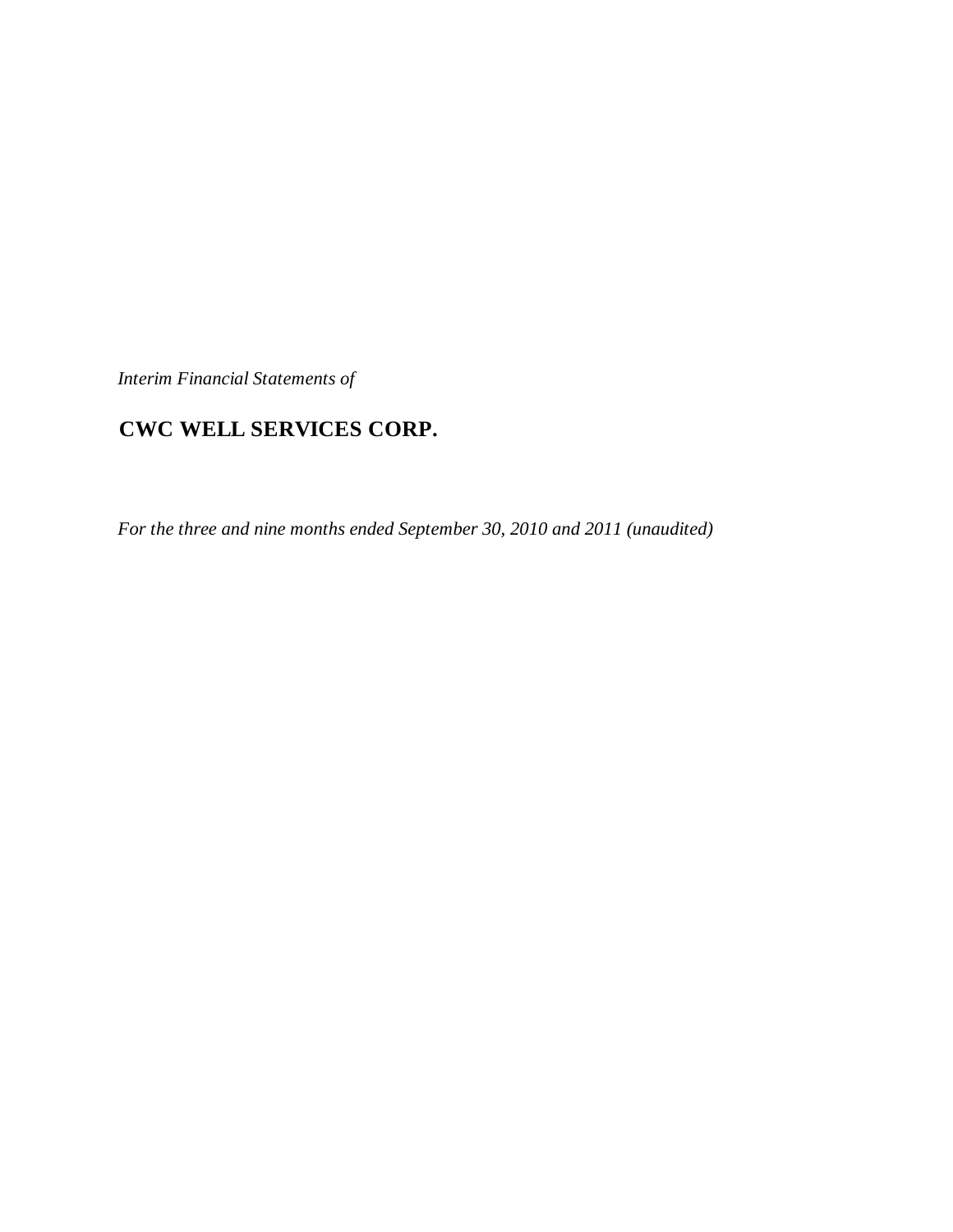*Interim Financial Statements of*

# **CWC WELL SERVICES CORP.**

*For the three and nine months ended September 30, 2010 and 2011 (unaudited)*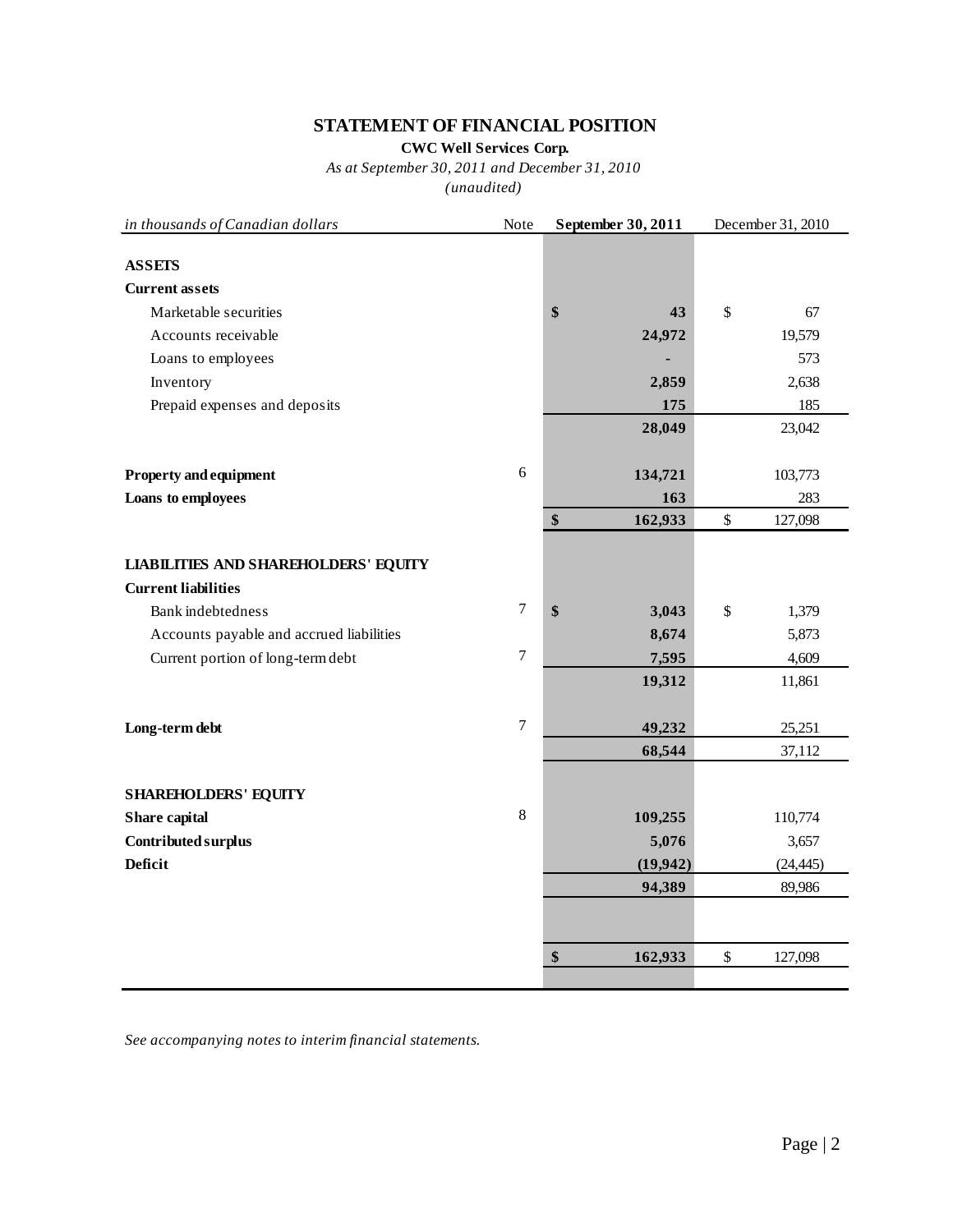# **STATEMENT OF FINANCIAL POSITION**

**CWC Well Services Corp.**

*As at September 30, 2011 and December 31, 2010*

*(unaudited)*

| in thousands of Canadian dollars            | Note           | September 30, 2011 | December 31, 2010 |                 |  |
|---------------------------------------------|----------------|--------------------|-------------------|-----------------|--|
| <b>ASSETS</b>                               |                |                    |                   |                 |  |
| <b>Current assets</b>                       |                |                    |                   |                 |  |
| Marketable securities                       |                | \$<br>43           | $\mathsf{\$}$     | 67              |  |
| Accounts receivable                         |                | 24,972             |                   | 19,579          |  |
| Loans to employees                          |                |                    |                   | 573             |  |
| Inventory                                   |                | 2,859              |                   | 2,638           |  |
| Prepaid expenses and deposits               |                | 175                |                   | 185             |  |
|                                             |                | 28,049             |                   | 23,042          |  |
| <b>Property and equipment</b>               | 6              | 134,721            |                   | 103,773         |  |
| Loans to employees                          |                | 163                |                   | 283             |  |
|                                             |                | \$<br>162,933      | $\$\,$            | 127,098         |  |
| <b>LIABILITIES AND SHAREHOLDERS' EQUITY</b> |                |                    |                   |                 |  |
| <b>Current liabilities</b>                  | $\tau$         |                    |                   |                 |  |
| Bank indebtedness                           |                | \$<br>3,043        | \$                | 1,379           |  |
| Accounts payable and accrued liabilities    | $\tau$         | 8,674              |                   | 5,873           |  |
| Current portion of long-term debt           |                | 7,595<br>19,312    |                   | 4,609<br>11,861 |  |
| Long-term debt                              | $\overline{7}$ | 49,232             |                   | 25,251          |  |
|                                             |                | 68,544             |                   | 37,112          |  |
| <b>SHAREHOLDERS' EQUITY</b>                 |                |                    |                   |                 |  |
| Share capital                               | $8\,$          | 109,255            |                   | 110,774         |  |
| Contributed surplus                         |                | 5,076              |                   | 3,657           |  |
| <b>Deficit</b>                              |                | (19, 942)          |                   | (24, 445)       |  |
|                                             |                | 94,389             |                   | 89,986          |  |
|                                             |                |                    |                   |                 |  |
|                                             |                | \$<br>162,933      | \$                | 127,098         |  |
|                                             |                |                    |                   |                 |  |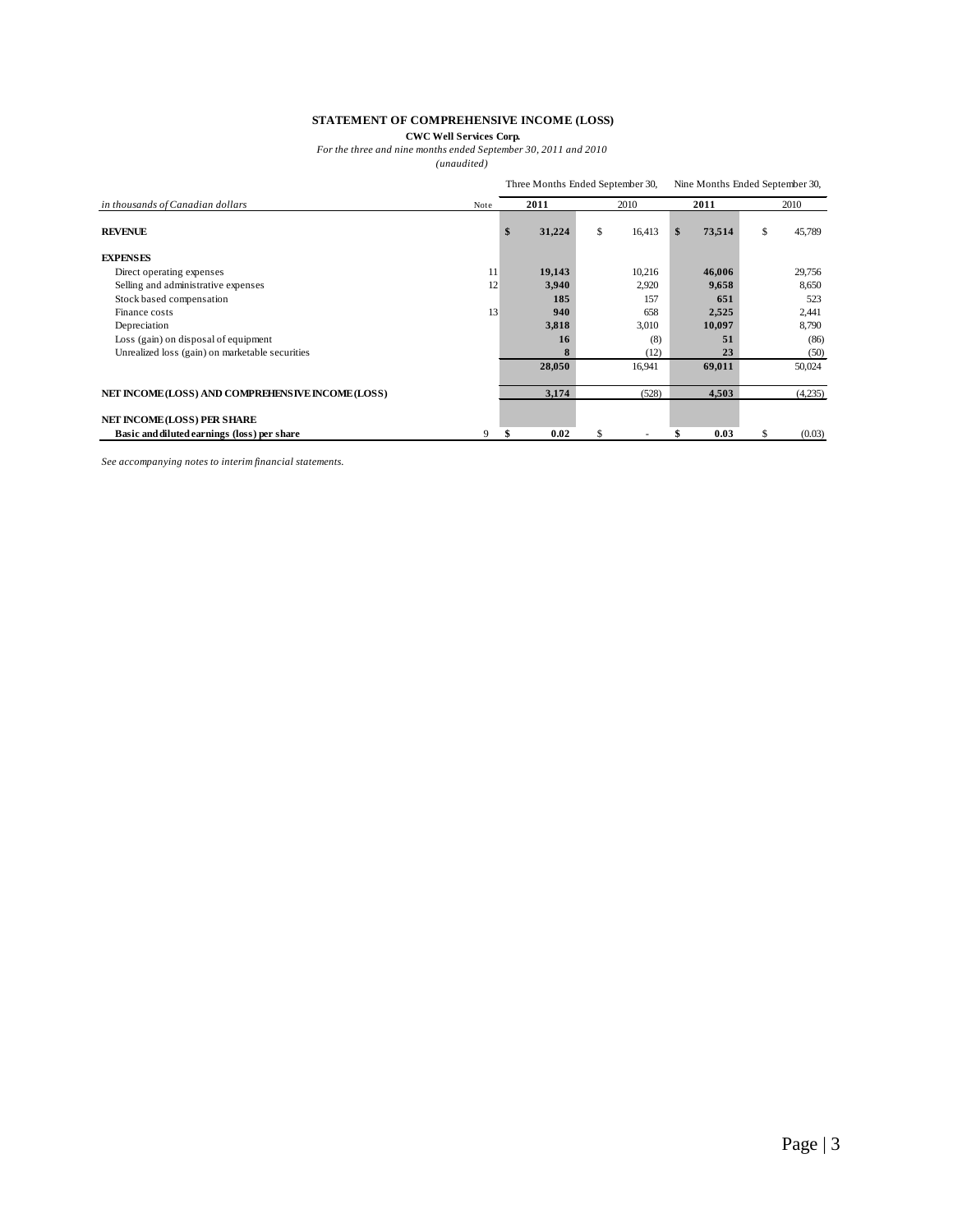#### **STATEMENT OF COMPREHENSIVE INCOME (LOSS)**

**CWC Well Services Corp.**

*For the three and nine months ended September 30, 2011 and 2010*

*(unaudited)*

|                                                   | Three Months Ended September 30, |    |        |    |        | Nine Months Ended September 30, |        |      |         |  |
|---------------------------------------------------|----------------------------------|----|--------|----|--------|---------------------------------|--------|------|---------|--|
| in thousands of Canadian dollars                  | Note                             |    | 2011   |    | 2010   |                                 | 2011   | 2010 |         |  |
| <b>REVENUE</b>                                    |                                  | \$ | 31,224 | \$ | 16,413 | \$                              | 73,514 | \$   | 45,789  |  |
| <b>EXPENSES</b>                                   |                                  |    |        |    |        |                                 |        |      |         |  |
| Direct operating expenses                         | 11                               |    | 19,143 |    | 10,216 |                                 | 46,006 |      | 29,756  |  |
| Selling and administrative expenses               | 12                               |    | 3,940  |    | 2,920  |                                 | 9,658  |      | 8,650   |  |
| Stock based compensation                          |                                  |    | 185    |    | 157    |                                 | 651    |      | 523     |  |
| Finance costs                                     | 13                               |    | 940    |    | 658    |                                 | 2,525  |      | 2,441   |  |
| Depreciation                                      |                                  |    | 3,818  |    | 3,010  |                                 | 10,097 |      | 8,790   |  |
| Loss (gain) on disposal of equipment              |                                  |    | 16     |    | (8)    |                                 | 51     |      | (86)    |  |
| Unrealized loss (gain) on marketable securities   |                                  |    | 8      |    | (12)   |                                 | 23     |      | (50)    |  |
|                                                   |                                  |    | 28,050 |    | 16,941 |                                 | 69,011 |      | 50,024  |  |
| NET INCOME (LOSS) AND COMPREHENSIVE INCOME (LOSS) |                                  |    | 3,174  |    | (528)  |                                 | 4,503  |      | (4,235) |  |
| <b>NET INCOME (LOSS) PER SHARE</b>                |                                  |    |        |    |        |                                 |        |      |         |  |
| Basic and diluted earnings (loss) per share       | 9                                |    | 0.02   | \$ |        |                                 | 0.03   | \$   | (0.03)  |  |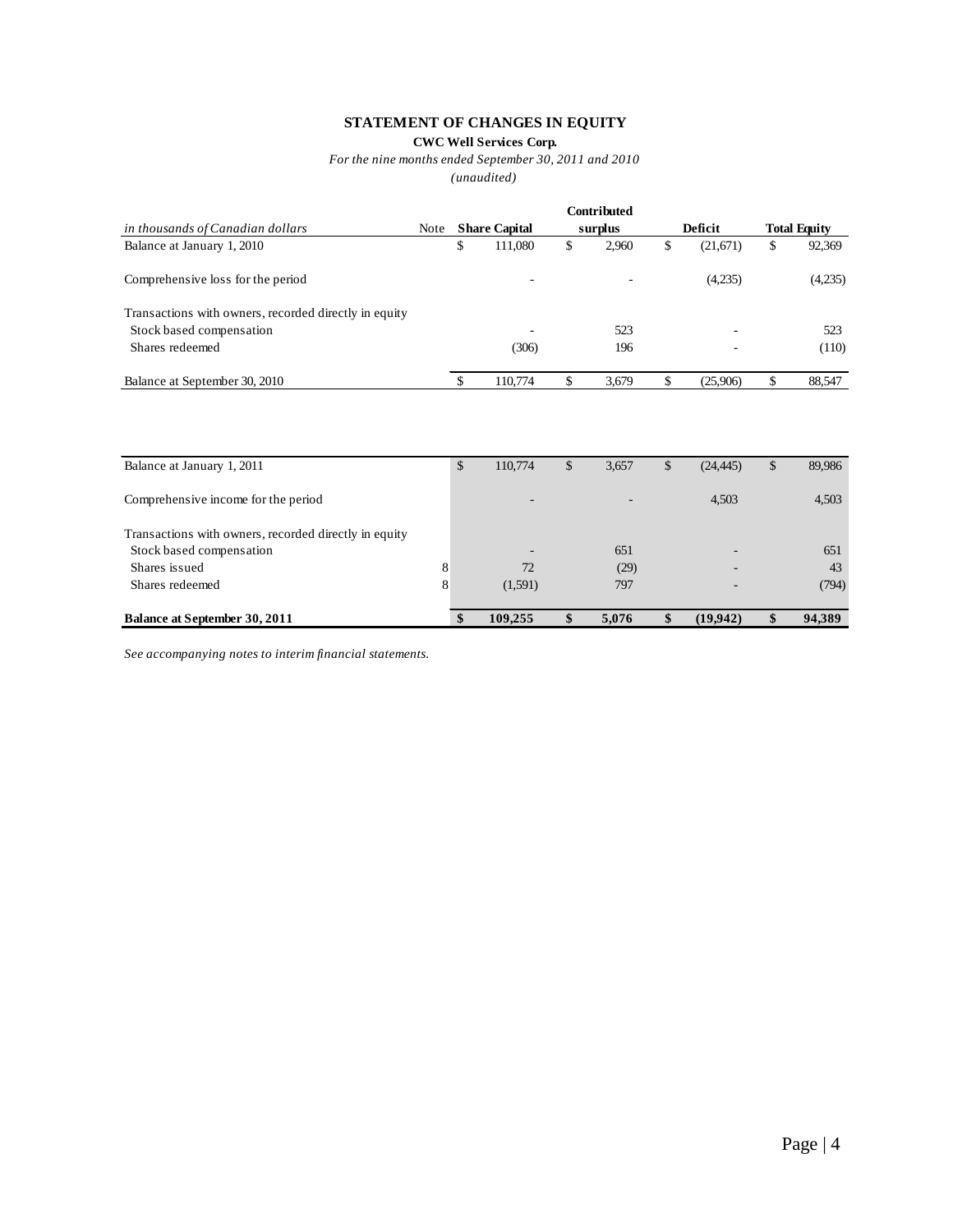# **STATEMENT OF CHANGES IN EQUITY**

**CWC Well Services Corp.**

*For the nine months ended September 30, 2011 and 2010*

*(unaudited)*

|                                                       |      |                          | <b>Contributed</b>       |    |          |                     |
|-------------------------------------------------------|------|--------------------------|--------------------------|----|----------|---------------------|
| in thousands of Canadian dollars                      | Note | <b>Share Capital</b>     | surplus                  |    | Deficit  | <b>Total Equity</b> |
| Balance at January 1, 2010                            |      | \$<br>111,080            | \$<br>2,960              | \$ | (21,671) | \$<br>92,369        |
| Comprehensive loss for the period                     |      | ۰                        | $\overline{\phantom{a}}$ |    | (4,235)  | (4,235)             |
| Transactions with owners, recorded directly in equity |      |                          |                          |    |          |                     |
| Stock based compensation                              |      | $\overline{\phantom{a}}$ | 523                      |    |          | 523                 |
| Shares redeemed                                       |      | (306)                    | 196                      |    |          | (110)               |
| Balance at September 30, 2010                         |      | 110,774                  | \$<br>3.679              | S  | (25,906) | 88,547              |

| Balance at January 1, 2011                            |          | \$<br>110,774            | \$<br>3,657              | $\mathbb{S}$ | (24, 445) | \$<br>89,986 |
|-------------------------------------------------------|----------|--------------------------|--------------------------|--------------|-----------|--------------|
| Comprehensive income for the period                   |          | $\overline{\phantom{a}}$ | $\overline{\phantom{a}}$ |              | 4.503     | 4,503        |
| Transactions with owners, recorded directly in equity |          |                          |                          |              |           |              |
| Stock based compensation                              |          |                          | 651                      |              |           | 651          |
| Shares issued                                         | 8        | 72                       | (29)                     |              |           | 43           |
| Shares redeemed                                       | 8        | (1,591)                  | 797                      |              |           | (794)        |
| <b>Balance at September 30, 2011</b>                  | <b>S</b> | 109.255                  | 5,076                    |              | (19,942)  | 94,389       |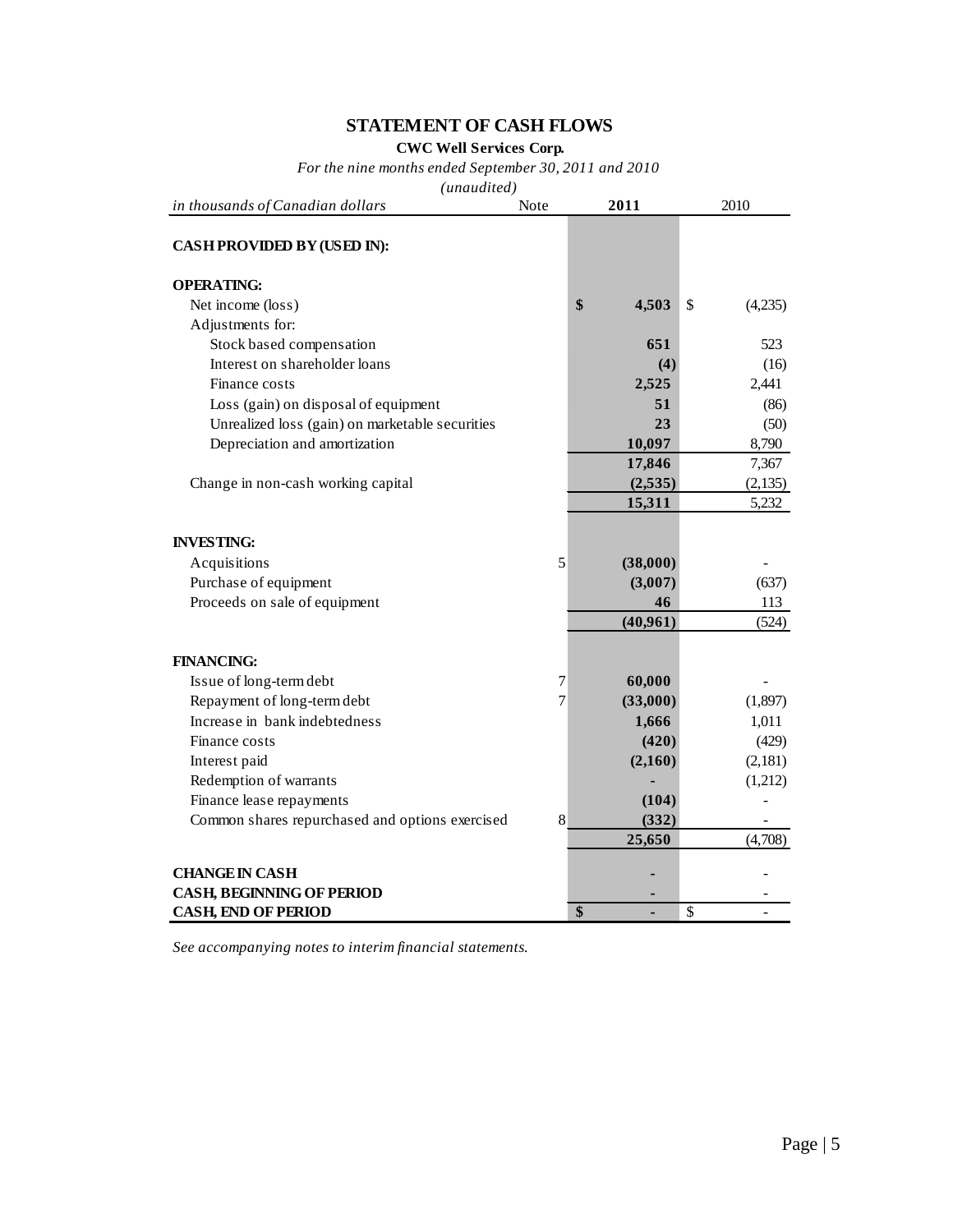# **STATEMENT OF CASH FLOWS**

**CWC Well Services Corp.**

*For the nine months ended September 30, 2011 and 2010*

*(unaudited)*

| in thousands of Canadian dollars                | Note           | 2011 |          | 2010 |         |  |
|-------------------------------------------------|----------------|------|----------|------|---------|--|
| CASH PROVIDED BY (USED IN):                     |                |      |          |      |         |  |
| <b>OPERATING:</b>                               |                |      |          |      |         |  |
| Net income (loss)                               |                | \$   | 4,503    | \$   | (4,235) |  |
| Adjustments for:                                |                |      |          |      |         |  |
| Stock based compensation                        |                |      | 651      |      | 523     |  |
| Interest on shareholder loans                   |                |      | (4)      |      | (16)    |  |
| Finance costs                                   |                |      | 2,525    |      | 2,441   |  |
| Loss (gain) on disposal of equipment            |                |      | 51       |      | (86)    |  |
| Unrealized loss (gain) on marketable securities |                |      | 23       |      | (50)    |  |
| Depreciation and amortization                   |                |      | 10,097   |      | 8,790   |  |
|                                                 |                |      | 17,846   |      | 7,367   |  |
| Change in non-cash working capital              |                |      | (2,535)  |      | (2,135) |  |
|                                                 |                |      | 15,311   |      | 5,232   |  |
| <b>INVESTING:</b>                               |                |      |          |      |         |  |
| Acquisitions                                    | 5              |      | (38,000) |      |         |  |
| Purchase of equipment                           |                |      | (3,007)  |      | (637)   |  |
| Proceeds on sale of equipment                   |                |      | 46       |      | 113     |  |
|                                                 |                |      | (40,961) |      | (524)   |  |
| <b>FINANCING:</b>                               |                |      |          |      |         |  |
| Issue of long-term debt                         | 7              |      | 60,000   |      |         |  |
| Repayment of long-term debt                     | $\overline{7}$ |      | (33,000) |      | (1,897) |  |
| Increase in bank indebtedness                   |                |      | 1,666    |      | 1,011   |  |
| Finance costs                                   |                |      | (420)    |      | (429)   |  |
| Interest paid                                   |                |      | (2,160)  |      | (2,181) |  |
| Redemption of warrants                          |                |      |          |      | (1,212) |  |
| Finance lease repayments                        |                |      | (104)    |      |         |  |
| Common shares repurchased and options exercised | 8              |      | (332)    |      |         |  |
|                                                 |                |      | 25,650   |      | (4,708) |  |
| <b>CHANGE IN CASH</b>                           |                |      |          |      |         |  |
| <b>CASH, BEGINNING OF PERIOD</b>                |                |      |          |      |         |  |
| <b>CASH, END OF PERIOD</b>                      |                | \$   |          | \$   |         |  |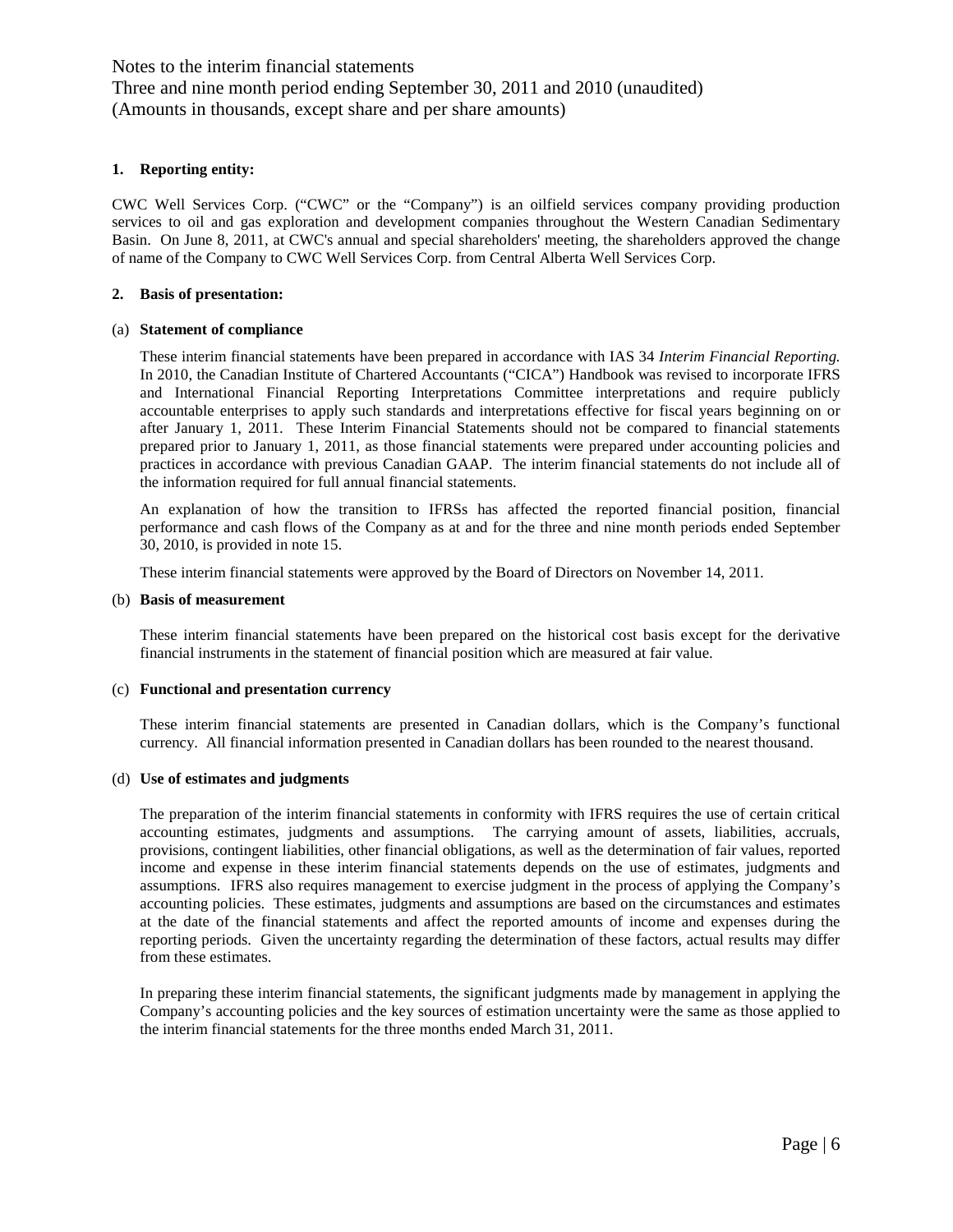Notes to the interim financial statements Three and nine month period ending September 30, 2011 and 2010 (unaudited) (Amounts in thousands, except share and per share amounts)

#### **1. Reporting entity:**

CWC Well Services Corp. ("CWC" or the "Company") is an oilfield services company providing production services to oil and gas exploration and development companies throughout the Western Canadian Sedimentary Basin. On June 8, 2011, at CWC's annual and special shareholders' meeting, the shareholders approved the change of name of the Company to CWC Well Services Corp. from Central Alberta Well Services Corp.

#### **2. Basis of presentation:**

#### (a) **Statement of compliance**

These interim financial statements have been prepared in accordance with IAS 34 *Interim Financial Reporting.*  In 2010, the Canadian Institute of Chartered Accountants ("CICA") Handbook was revised to incorporate IFRS and International Financial Reporting Interpretations Committee interpretations and require publicly accountable enterprises to apply such standards and interpretations effective for fiscal years beginning on or after January 1, 2011. These Interim Financial Statements should not be compared to financial statements prepared prior to January 1, 2011, as those financial statements were prepared under accounting policies and practices in accordance with previous Canadian GAAP. The interim financial statements do not include all of the information required for full annual financial statements.

An explanation of how the transition to IFRSs has affected the reported financial position, financial performance and cash flows of the Company as at and for the three and nine month periods ended September 30, 2010, is provided in note 15.

These interim financial statements were approved by the Board of Directors on November 14, 2011.

#### (b) **Basis of measurement**

These interim financial statements have been prepared on the historical cost basis except for the derivative financial instruments in the statement of financial position which are measured at fair value.

#### (c) **Functional and presentation currency**

These interim financial statements are presented in Canadian dollars, which is the Company's functional currency. All financial information presented in Canadian dollars has been rounded to the nearest thousand.

#### (d) **Use of estimates and judgments**

The preparation of the interim financial statements in conformity with IFRS requires the use of certain critical accounting estimates, judgments and assumptions. The carrying amount of assets, liabilities, accruals, provisions, contingent liabilities, other financial obligations, as well as the determination of fair values, reported income and expense in these interim financial statements depends on the use of estimates, judgments and assumptions. IFRS also requires management to exercise judgment in the process of applying the Company's accounting policies. These estimates, judgments and assumptions are based on the circumstances and estimates at the date of the financial statements and affect the reported amounts of income and expenses during the reporting periods. Given the uncertainty regarding the determination of these factors, actual results may differ from these estimates.

In preparing these interim financial statements, the significant judgments made by management in applying the Company's accounting policies and the key sources of estimation uncertainty were the same as those applied to the interim financial statements for the three months ended March 31, 2011.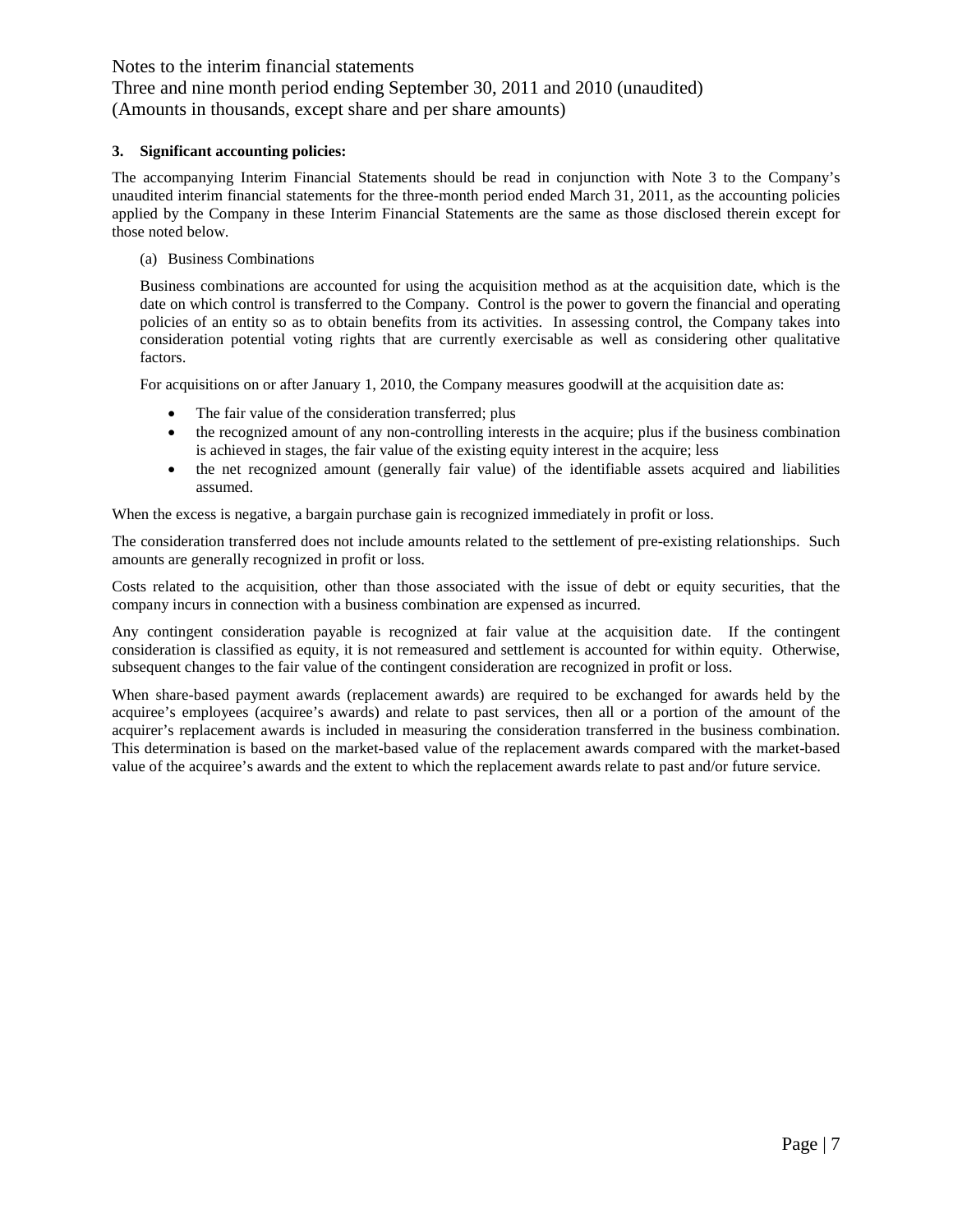Three and nine month period ending September 30, 2011 and 2010 (unaudited) (Amounts in thousands, except share and per share amounts)

#### **3. Significant accounting policies:**

The accompanying Interim Financial Statements should be read in conjunction with Note 3 to the Company's unaudited interim financial statements for the three-month period ended March 31, 2011, as the accounting policies applied by the Company in these Interim Financial Statements are the same as those disclosed therein except for those noted below.

(a) Business Combinations

Business combinations are accounted for using the acquisition method as at the acquisition date, which is the date on which control is transferred to the Company. Control is the power to govern the financial and operating policies of an entity so as to obtain benefits from its activities. In assessing control, the Company takes into consideration potential voting rights that are currently exercisable as well as considering other qualitative factors.

For acquisitions on or after January 1, 2010, the Company measures goodwill at the acquisition date as:

- The fair value of the consideration transferred; plus
- the recognized amount of any non-controlling interests in the acquire; plus if the business combination is achieved in stages, the fair value of the existing equity interest in the acquire; less
- the net recognized amount (generally fair value) of the identifiable assets acquired and liabilities assumed.

When the excess is negative, a bargain purchase gain is recognized immediately in profit or loss.

The consideration transferred does not include amounts related to the settlement of pre-existing relationships. Such amounts are generally recognized in profit or loss.

Costs related to the acquisition, other than those associated with the issue of debt or equity securities, that the company incurs in connection with a business combination are expensed as incurred.

Any contingent consideration payable is recognized at fair value at the acquisition date. If the contingent consideration is classified as equity, it is not remeasured and settlement is accounted for within equity. Otherwise, subsequent changes to the fair value of the contingent consideration are recognized in profit or loss.

When share-based payment awards (replacement awards) are required to be exchanged for awards held by the acquiree's employees (acquiree's awards) and relate to past services, then all or a portion of the amount of the acquirer's replacement awards is included in measuring the consideration transferred in the business combination. This determination is based on the market-based value of the replacement awards compared with the market-based value of the acquiree's awards and the extent to which the replacement awards relate to past and/or future service.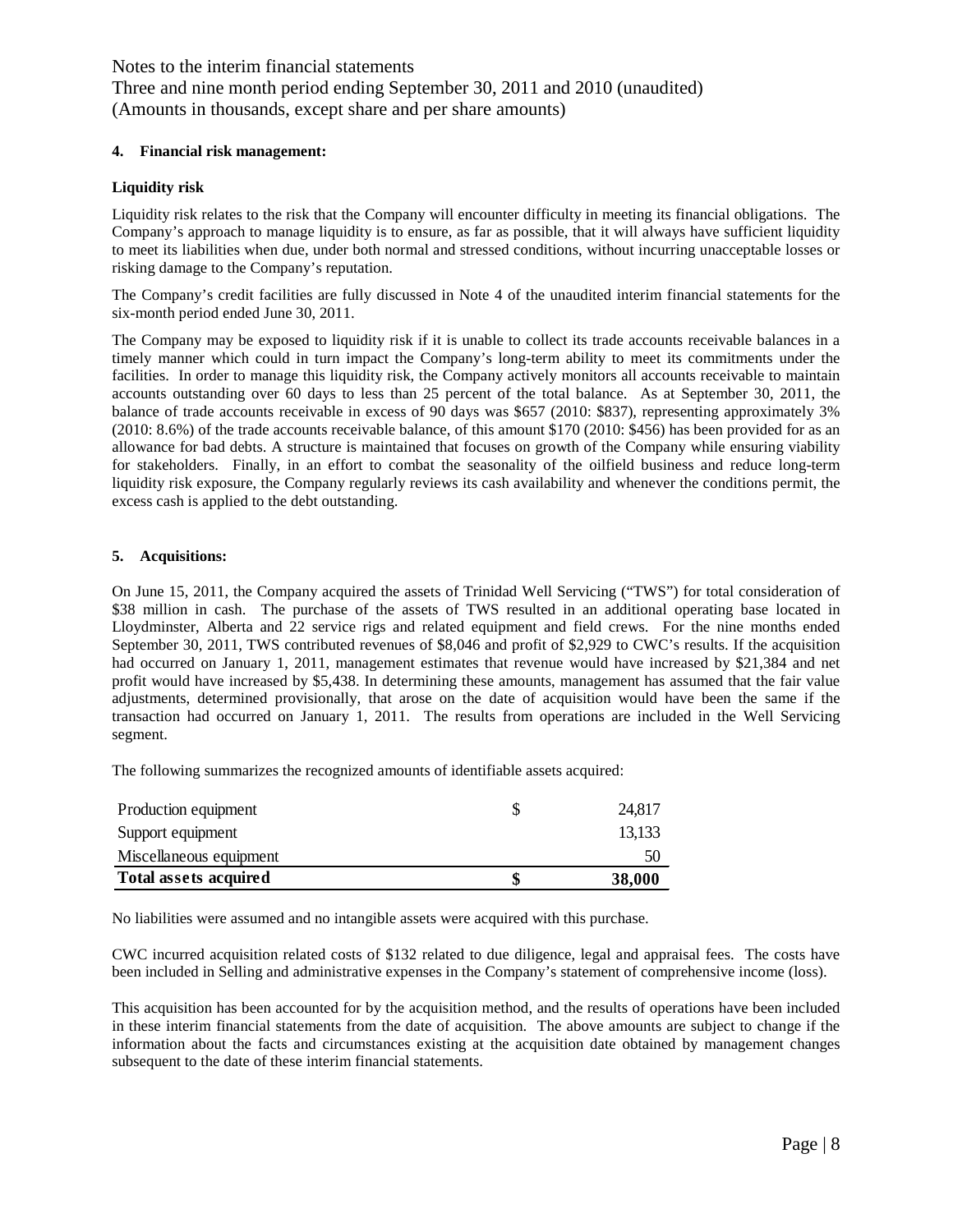Notes to the interim financial statements Three and nine month period ending September 30, 2011 and 2010 (unaudited) (Amounts in thousands, except share and per share amounts)

#### **4. Financial risk management:**

#### **Liquidity risk**

Liquidity risk relates to the risk that the Company will encounter difficulty in meeting its financial obligations. The Company's approach to manage liquidity is to ensure, as far as possible, that it will always have sufficient liquidity to meet its liabilities when due, under both normal and stressed conditions, without incurring unacceptable losses or risking damage to the Company's reputation.

The Company's credit facilities are fully discussed in Note 4 of the unaudited interim financial statements for the six-month period ended June 30, 2011.

The Company may be exposed to liquidity risk if it is unable to collect its trade accounts receivable balances in a timely manner which could in turn impact the Company's long-term ability to meet its commitments under the facilities. In order to manage this liquidity risk, the Company actively monitors all accounts receivable to maintain accounts outstanding over 60 days to less than 25 percent of the total balance. As at September 30, 2011, the balance of trade accounts receivable in excess of 90 days was \$657 (2010: \$837), representing approximately 3% (2010: 8.6%) of the trade accounts receivable balance, of this amount \$170 (2010: \$456) has been provided for as an allowance for bad debts. A structure is maintained that focuses on growth of the Company while ensuring viability for stakeholders. Finally, in an effort to combat the seasonality of the oilfield business and reduce long-term liquidity risk exposure, the Company regularly reviews its cash availability and whenever the conditions permit, the excess cash is applied to the debt outstanding.

#### **5. Acquisitions:**

On June 15, 2011, the Company acquired the assets of Trinidad Well Servicing ("TWS") for total consideration of \$38 million in cash. The purchase of the assets of TWS resulted in an additional operating base located in Lloydminster, Alberta and 22 service rigs and related equipment and field crews. For the nine months ended September 30, 2011, TWS contributed revenues of \$8,046 and profit of \$2,929 to CWC's results. If the acquisition had occurred on January 1, 2011, management estimates that revenue would have increased by \$21,384 and net profit would have increased by \$5,438. In determining these amounts, management has assumed that the fair value adjustments, determined provisionally, that arose on the date of acquisition would have been the same if the transaction had occurred on January 1, 2011. The results from operations are included in the Well Servicing segment.

The following summarizes the recognized amounts of identifiable assets acquired:

| Total assets acquired   | 38,000 |
|-------------------------|--------|
| Miscellaneous equipment | 50     |
| Support equipment       | 13.133 |
| Production equipment    | 24.817 |

No liabilities were assumed and no intangible assets were acquired with this purchase.

CWC incurred acquisition related costs of \$132 related to due diligence, legal and appraisal fees. The costs have been included in Selling and administrative expenses in the Company's statement of comprehensive income (loss).

This acquisition has been accounted for by the acquisition method, and the results of operations have been included in these interim financial statements from the date of acquisition. The above amounts are subject to change if the information about the facts and circumstances existing at the acquisition date obtained by management changes subsequent to the date of these interim financial statements.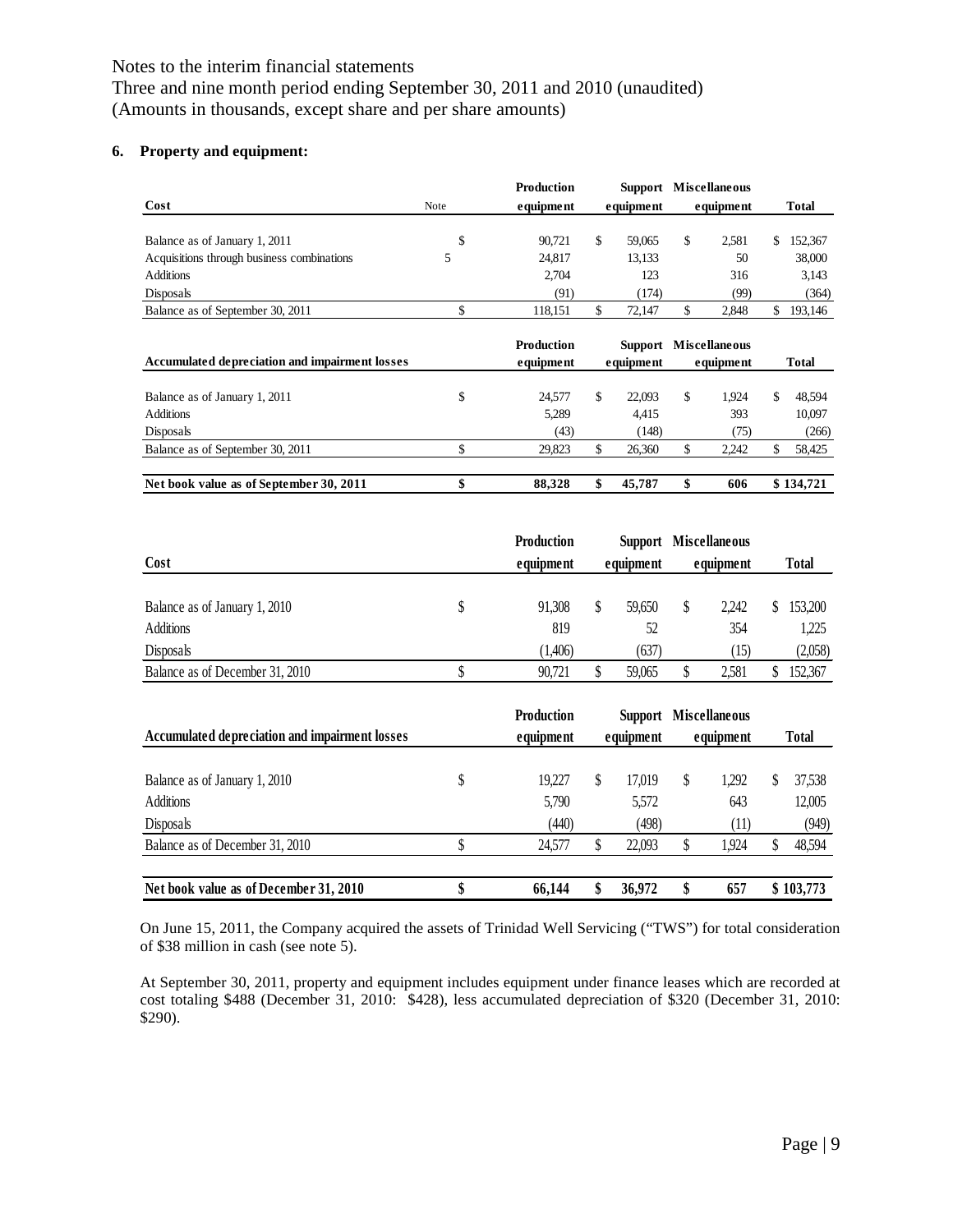Three and nine month period ending September 30, 2011 and 2010 (unaudited) (Amounts in thousands, except share and per share amounts)

# **6. Property and equipment:**

| Cost                                           | Note | <b>Production</b><br>equipment | Support Miscellaneous<br>equipment                                              | equipment   |    | <b>Total</b> |
|------------------------------------------------|------|--------------------------------|---------------------------------------------------------------------------------|-------------|----|--------------|
| Balance as of January 1, 2011                  | \$   | 90.721                         | \$<br>59.065                                                                    | \$<br>2.581 | S  | 152,367      |
| Acquisitions through business combinations     |      | 24.817                         | 13.133                                                                          | 50          |    | 38,000       |
| <b>Additions</b>                               |      | 2.704                          | 123                                                                             | 316         |    | 3.143        |
| Disposals                                      |      | (91)                           | (174)                                                                           | (99)        |    | (364)        |
| Balance as of September 30, 2011               | Φ    | 118.151                        | \$<br>72.147                                                                    | \$<br>2,848 | \$ | 193,146      |
| Accumulated depreciation and impairment losses |      | <b>Production</b><br>equipment | Support Miscellaneous<br>equipment                                              | equipment   |    | <b>Total</b> |
|                                                |      |                                | the contract of the contract of the contract of the contract of the contract of |             |    |              |

| Net book value as of September 30, 2011 |   | 88.328 | 45.787 | 606   | \$134,721 |
|-----------------------------------------|---|--------|--------|-------|-----------|
| Balance as of September 30, 2011        |   | 29.823 | 26.360 | 2.242 | 58.425    |
| Disposals                               |   | (43)   | (148)  | 75)   | (266)     |
| Additions                               |   | 5.289  | 4.415  | 393   | 10.097    |
| Balance as of January 1, 2011           | ٩ | 24.577 | 22.093 | 1.924 | 48.594    |

|                                 | <b>Production</b> |           | <b>Support Miscellaneous</b> |              |
|---------------------------------|-------------------|-----------|------------------------------|--------------|
| Cost                            | equipment         | equipment | equipment                    | <b>Total</b> |
|                                 |                   |           |                              |              |
| Balance as of January 1, 2010   | 91.308            | 59.650    | 2.242                        | 153,200      |
| <b>Additions</b>                | 819               | 52        | 354                          | 1,225        |
| Disposals                       | (1,406)           | (637)     | (15)                         | (2,058)      |
| Balance as of December 31, 2010 | 90.721            | 59.065    | 2.581                        | 152.367      |

| Accumulated depreciation and impairment losses    |    | <b>Production</b><br>equipment |   | equipment       |   | <b>Support Miscellaneous</b><br>equipment |   | Total            |
|---------------------------------------------------|----|--------------------------------|---|-----------------|---|-------------------------------------------|---|------------------|
| Balance as of January 1, 2010<br><b>Additions</b> | \$ | 19.227<br>5,790                | S | 17.019<br>5,572 | S | 1.292<br>643                              | S | 37,538<br>12,005 |
| Disposals                                         |    | (440)                          |   | (498)           |   | (11)                                      |   | (949)            |
| Balance as of December 31, 2010                   |    | 24.577                         |   | 22,093          |   | 1.924                                     |   | 48,594           |
| Net book value as of December 31, 2010            | J  | 66,144                         |   | 36,972          |   | 657                                       |   | \$103,773        |

On June 15, 2011, the Company acquired the assets of Trinidad Well Servicing ("TWS") for total consideration of \$38 million in cash (see note 5).

At September 30, 2011, property and equipment includes equipment under finance leases which are recorded at cost totaling \$488 (December 31, 2010: \$428), less accumulated depreciation of \$320 (December 31, 2010: \$290).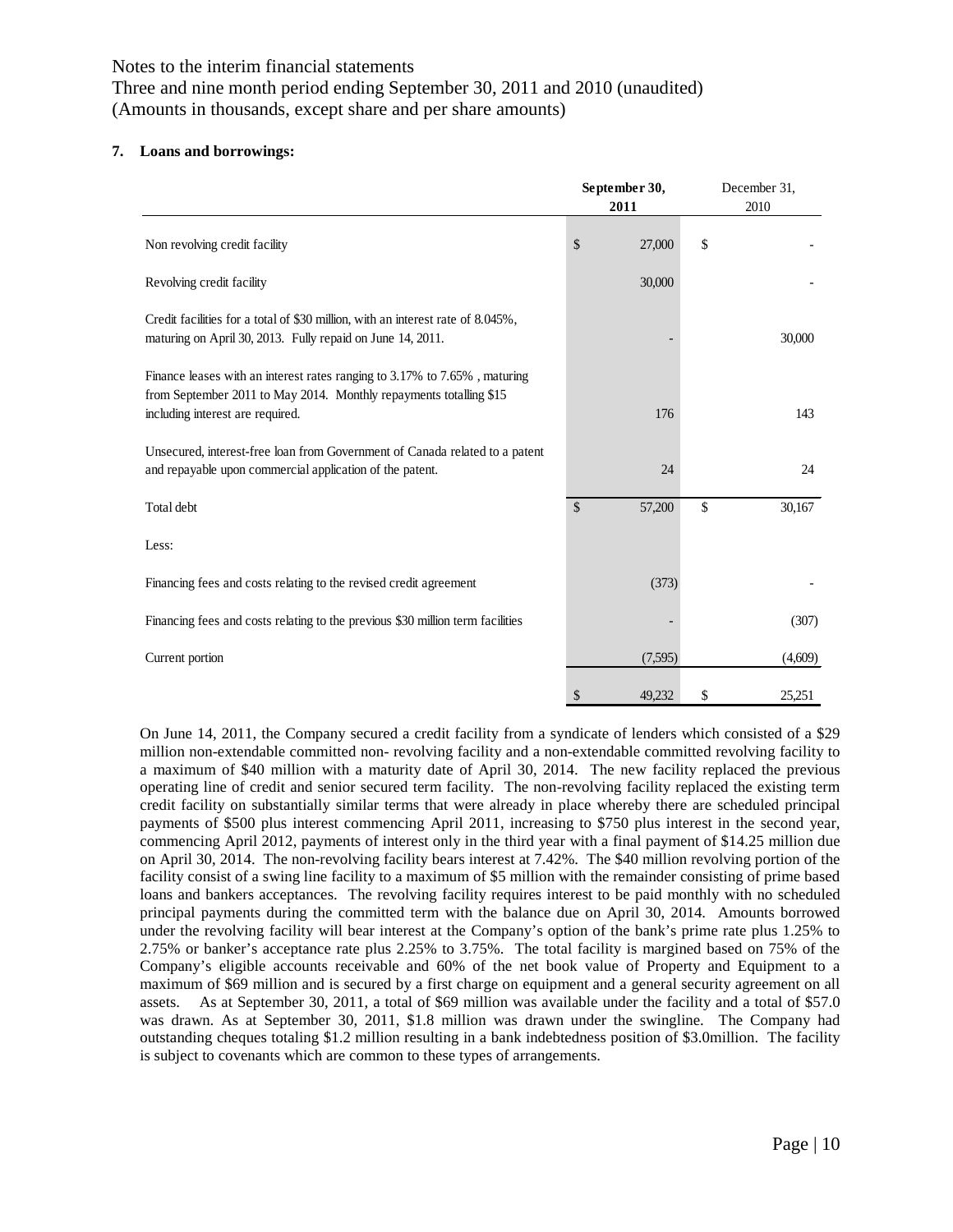Three and nine month period ending September 30, 2011 and 2010 (unaudited) (Amounts in thousands, except share and per share amounts)

#### **7. Loans and borrowings:**

|                                                                                                                                                                                     | September 30,<br>2011 |         | December 31,<br>2010 |
|-------------------------------------------------------------------------------------------------------------------------------------------------------------------------------------|-----------------------|---------|----------------------|
| Non revolving credit facility                                                                                                                                                       | \$                    | 27,000  | \$                   |
| Revolving credit facility                                                                                                                                                           |                       | 30,000  |                      |
| Credit facilities for a total of \$30 million, with an interest rate of 8.045%,<br>maturing on April 30, 2013. Fully repaid on June 14, 2011.                                       |                       |         | 30,000               |
| Finance leases with an interest rates ranging to 3.17% to 7.65%, maturing<br>from September 2011 to May 2014. Monthly repayments totalling \$15<br>including interest are required. |                       | 176     | 143                  |
| Unsecured, interest-free loan from Government of Canada related to a patent<br>and repayable upon commercial application of the patent.                                             |                       | 24      | 24                   |
| Total debt                                                                                                                                                                          | \$                    | 57,200  | \$<br>30,167         |
| Less:                                                                                                                                                                               |                       |         |                      |
| Financing fees and costs relating to the revised credit agreement                                                                                                                   |                       | (373)   |                      |
| Financing fees and costs relating to the previous \$30 million term facilities                                                                                                      |                       |         | (307)                |
| Current portion                                                                                                                                                                     |                       | (7,595) | (4,609)              |
|                                                                                                                                                                                     | \$                    | 49.232  | \$<br>25,251         |

On June 14, 2011, the Company secured a credit facility from a syndicate of lenders which consisted of a \$29 million non-extendable committed non- revolving facility and a non-extendable committed revolving facility to a maximum of \$40 million with a maturity date of April 30, 2014. The new facility replaced the previous operating line of credit and senior secured term facility. The non-revolving facility replaced the existing term credit facility on substantially similar terms that were already in place whereby there are scheduled principal payments of \$500 plus interest commencing April 2011, increasing to \$750 plus interest in the second year, commencing April 2012, payments of interest only in the third year with a final payment of \$14.25 million due on April 30, 2014. The non-revolving facility bears interest at 7.42%. The \$40 million revolving portion of the facility consist of a swing line facility to a maximum of \$5 million with the remainder consisting of prime based loans and bankers acceptances. The revolving facility requires interest to be paid monthly with no scheduled principal payments during the committed term with the balance due on April 30, 2014. Amounts borrowed under the revolving facility will bear interest at the Company's option of the bank's prime rate plus 1.25% to 2.75% or banker's acceptance rate plus 2.25% to 3.75%. The total facility is margined based on 75% of the Company's eligible accounts receivable and 60% of the net book value of Property and Equipment to a maximum of \$69 million and is secured by a first charge on equipment and a general security agreement on all assets. As at September 30, 2011, a total of \$69 million was available under the facility and a total of \$57.0 was drawn. As at September 30, 2011, \$1.8 million was drawn under the swingline. The Company had outstanding cheques totaling \$1.2 million resulting in a bank indebtedness position of \$3.0million. The facility is subject to covenants which are common to these types of arrangements.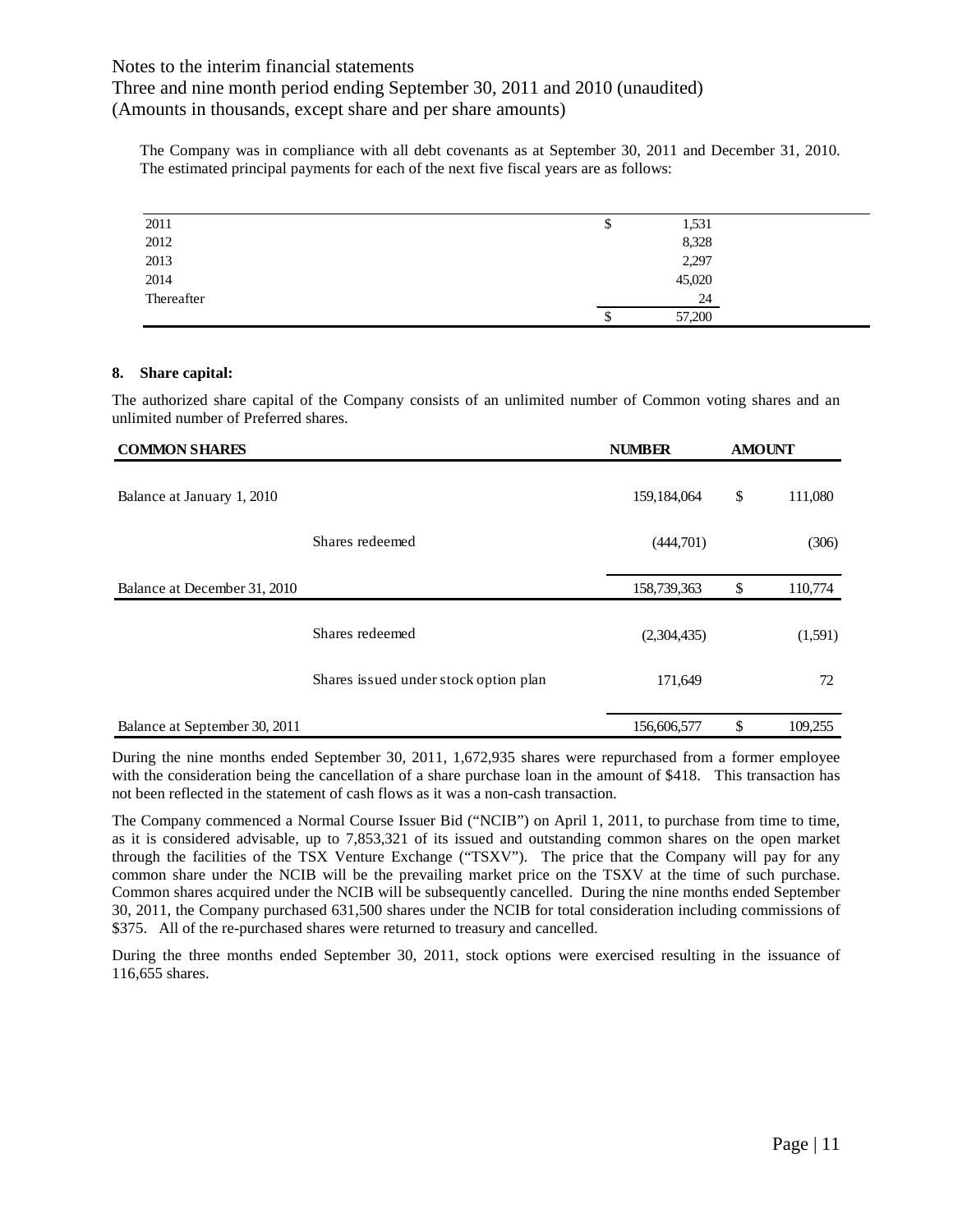Three and nine month period ending September 30, 2011 and 2010 (unaudited) (Amounts in thousands, except share and per share amounts)

The Company was in compliance with all debt covenants as at September 30, 2011 and December 31, 2010. The estimated principal payments for each of the next five fiscal years are as follows:

| 2011       | 1,531<br>\$  |  |
|------------|--------------|--|
| 2012       | 8,328        |  |
| 2013       | 2,297        |  |
| 2014       | 45,020       |  |
| Thereafter | 24           |  |
|            | 57,200<br>\$ |  |

#### **8. Share capital:**

The authorized share capital of the Company consists of an unlimited number of Common voting shares and an unlimited number of Preferred shares.

| <b>COMMON SHARES</b>          |                                       | <b>NUMBER</b> | <b>AMOUNT</b> |         |
|-------------------------------|---------------------------------------|---------------|---------------|---------|
| Balance at January 1, 2010    |                                       | 159, 184, 064 | \$            | 111,080 |
|                               | Shares redeemed                       | (444,701)     |               | (306)   |
| Balance at December 31, 2010  |                                       | 158,739,363   | \$            | 110,774 |
|                               | Shares redeemed                       | (2,304,435)   |               | (1,591) |
|                               | Shares issued under stock option plan | 171,649       |               | 72      |
| Balance at September 30, 2011 |                                       | 156,606,577   | \$            | 109,255 |

During the nine months ended September 30, 2011, 1,672,935 shares were repurchased from a former employee with the consideration being the cancellation of a share purchase loan in the amount of \$418. This transaction has not been reflected in the statement of cash flows as it was a non-cash transaction.

The Company commenced a Normal Course Issuer Bid ("NCIB") on April 1, 2011, to purchase from time to time, as it is considered advisable, up to 7,853,321 of its issued and outstanding common shares on the open market through the facilities of the TSX Venture Exchange ("TSXV"). The price that the Company will pay for any common share under the NCIB will be the prevailing market price on the TSXV at the time of such purchase. Common shares acquired under the NCIB will be subsequently cancelled. During the nine months ended September 30, 2011, the Company purchased 631,500 shares under the NCIB for total consideration including commissions of \$375. All of the re-purchased shares were returned to treasury and cancelled.

During the three months ended September 30, 2011, stock options were exercised resulting in the issuance of 116,655 shares.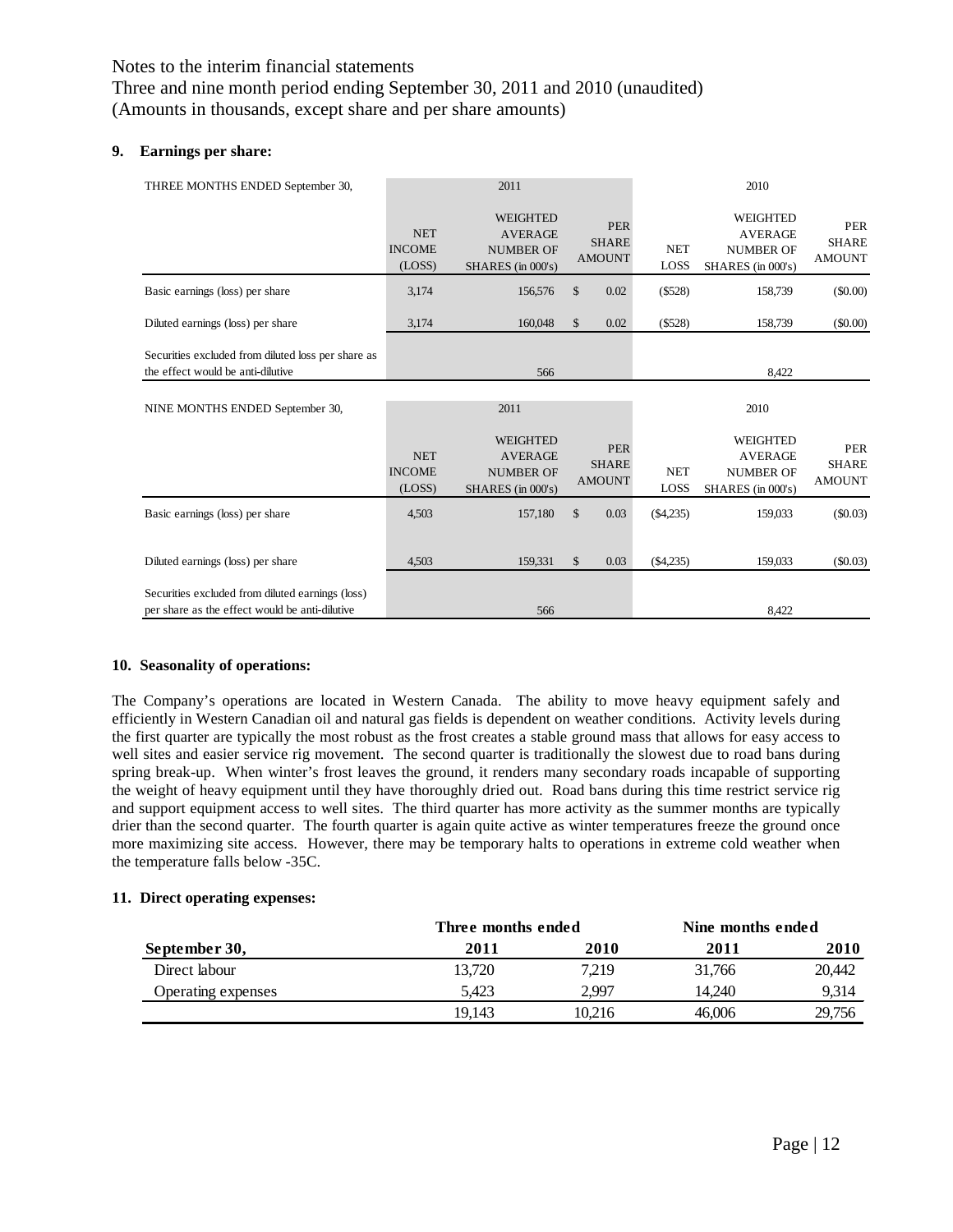Three and nine month period ending September 30, 2011 and 2010 (unaudited) (Amounts in thousands, except share and per share amounts)

#### **9. Earnings per share:**

| THREE MONTHS ENDED September 30,                                                                   |                                       | 2011                                                                       |                                             | 2010               |                                                                            |                                             |
|----------------------------------------------------------------------------------------------------|---------------------------------------|----------------------------------------------------------------------------|---------------------------------------------|--------------------|----------------------------------------------------------------------------|---------------------------------------------|
|                                                                                                    | <b>NET</b><br><b>INCOME</b><br>(LOSS) | <b>WEIGHTED</b><br><b>AVERAGE</b><br><b>NUMBER OF</b><br>SHARES (in 000's) | <b>PER</b><br><b>SHARE</b><br><b>AMOUNT</b> | <b>NET</b><br>LOSS | <b>WEIGHTED</b><br><b>AVERAGE</b><br><b>NUMBER OF</b><br>SHARES (in 000's) | <b>PER</b><br><b>SHARE</b><br><b>AMOUNT</b> |
| Basic earnings (loss) per share                                                                    | 3,174                                 | 156,576                                                                    | \$<br>0.02                                  | (\$528)            | 158,739                                                                    | $(\$0.00)$                                  |
| Diluted earnings (loss) per share                                                                  | 3,174                                 | 160,048                                                                    | \$<br>0.02                                  | (\$528)            | 158,739                                                                    | $(\$0.00)$                                  |
| Securities excluded from diluted loss per share as<br>the effect would be anti-dilutive            |                                       | 566                                                                        |                                             |                    | 8,422                                                                      |                                             |
| NINE MONTHS ENDED September 30,                                                                    |                                       | 2011                                                                       |                                             |                    | 2010                                                                       |                                             |
|                                                                                                    | <b>NET</b><br><b>INCOME</b><br>(LOSS) | <b>WEIGHTED</b><br><b>AVERAGE</b><br><b>NUMBER OF</b><br>SHARES (in 000's) | <b>PER</b><br><b>SHARE</b><br><b>AMOUNT</b> | <b>NET</b><br>LOSS | <b>WEIGHTED</b><br><b>AVERAGE</b><br><b>NUMBER OF</b><br>SHARES (in 000's) | <b>PER</b><br><b>SHARE</b><br><b>AMOUNT</b> |
| Basic earnings (loss) per share                                                                    | 4,503                                 | 157,180                                                                    | \$<br>0.03                                  | (\$4,235)          | 159,033                                                                    | (\$0.03)                                    |
| Diluted earnings (loss) per share                                                                  | 4,503                                 | 159,331                                                                    | \$<br>0.03                                  | $(\$4,235)$        | 159,033                                                                    | $(\$0.03)$                                  |
| Securities excluded from diluted earnings (loss)<br>per share as the effect would be anti-dilutive |                                       | 566                                                                        |                                             |                    | 8,422                                                                      |                                             |

#### **10. Seasonality of operations:**

The Company's operations are located in Western Canada. The ability to move heavy equipment safely and efficiently in Western Canadian oil and natural gas fields is dependent on weather conditions. Activity levels during the first quarter are typically the most robust as the frost creates a stable ground mass that allows for easy access to well sites and easier service rig movement. The second quarter is traditionally the slowest due to road bans during spring break-up. When winter's frost leaves the ground, it renders many secondary roads incapable of supporting the weight of heavy equipment until they have thoroughly dried out. Road bans during this time restrict service rig and support equipment access to well sites. The third quarter has more activity as the summer months are typically drier than the second quarter. The fourth quarter is again quite active as winter temperatures freeze the ground once more maximizing site access. However, there may be temporary halts to operations in extreme cold weather when the temperature falls below -35C.

#### **11. Direct operating expenses:**

|                    |        | Three months ended |        | Nine months ended |
|--------------------|--------|--------------------|--------|-------------------|
| September 30,      | 2011   | 2010               | 2011   | 2010              |
| Direct labour      | 13.720 | 7.219              | 31.766 | 20,442            |
| Operating expenses | 5.423  | 2.997              | 14.240 | 9.314             |
|                    | 19.143 | 10.216             | 46.006 | 29,756            |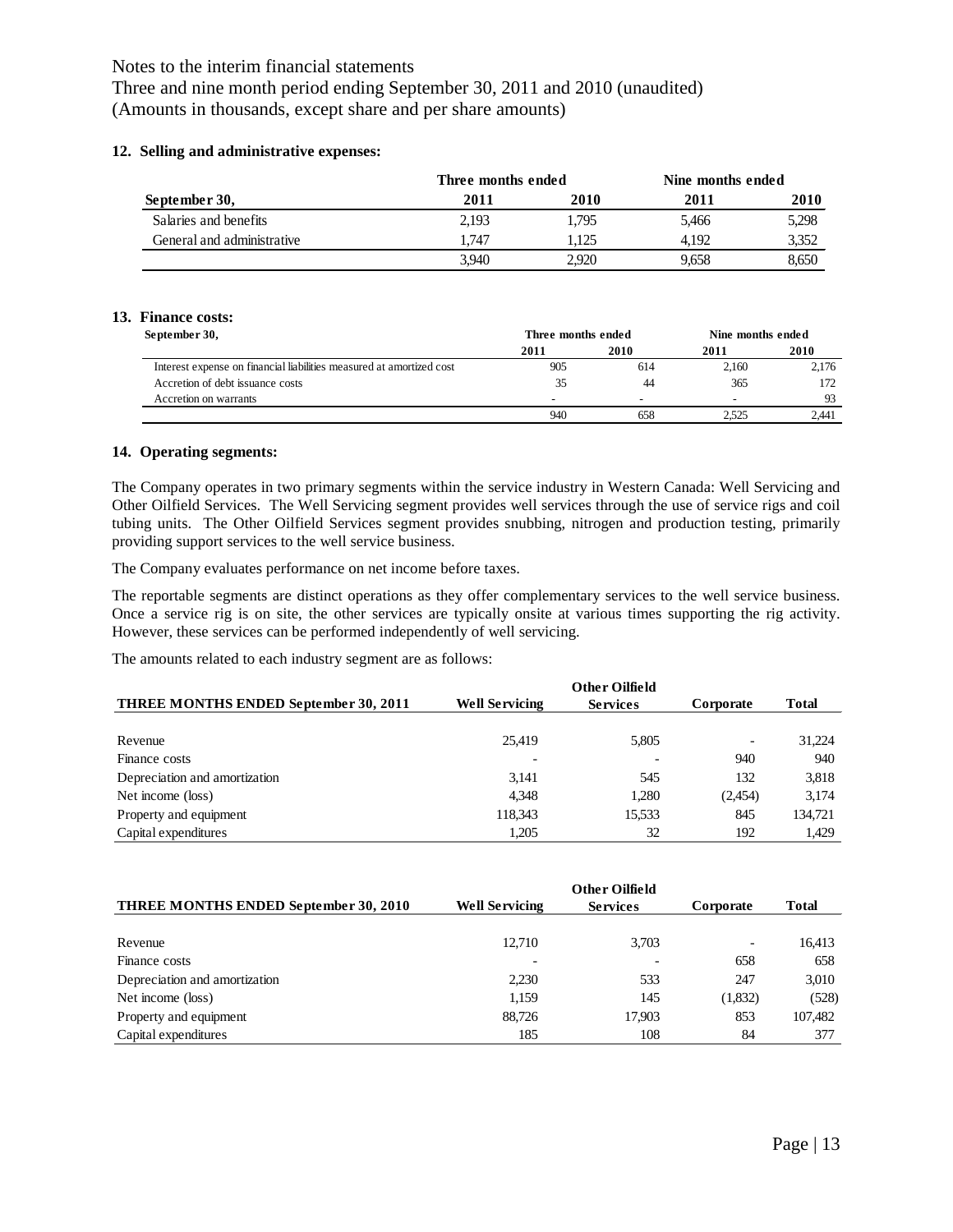Three and nine month period ending September 30, 2011 and 2010 (unaudited) (Amounts in thousands, except share and per share amounts)

#### **12. Selling and administrative expenses:**

|                            | Three months ended |       | Nine months ended |       |  |
|----------------------------|--------------------|-------|-------------------|-------|--|
| September 30,              | 2011               | 2010  | 2011              | 2010  |  |
| Salaries and benefits      | 2.193              | 1.795 | 5.466             | 5,298 |  |
| General and administrative | 1.747              | .125  | 4.192             | 3,352 |  |
|                            | 3.940              | 2,920 | 9.658             | 8,650 |  |

#### **13. Finance costs:**

| September 30,                                                        | Three months ended       |                          | Nine months ended        |       |  |
|----------------------------------------------------------------------|--------------------------|--------------------------|--------------------------|-------|--|
|                                                                      | 2011                     | 2010                     | 2011                     | 2010  |  |
| Interest expense on financial liabilities measured at amortized cost | 905                      | 614                      | 2.160                    | 2.176 |  |
| Accretion of debt issuance costs                                     |                          | 44                       | 365                      |       |  |
| Accretion on warrants                                                | $\overline{\phantom{0}}$ | $\overline{\phantom{0}}$ | $\overline{\phantom{a}}$ | 93    |  |
|                                                                      | 940                      | 658                      | 2.525                    | 2.441 |  |

#### **14. Operating segments:**

The Company operates in two primary segments within the service industry in Western Canada: Well Servicing and Other Oilfield Services. The Well Servicing segment provides well services through the use of service rigs and coil tubing units. The Other Oilfield Services segment provides snubbing, nitrogen and production testing, primarily providing support services to the well service business.

The Company evaluates performance on net income before taxes.

The reportable segments are distinct operations as they offer complementary services to the well service business. Once a service rig is on site, the other services are typically onsite at various times supporting the rig activity. However, these services can be performed independently of well servicing.

The amounts related to each industry segment are as follows:

| THREE MONTHS ENDED September 30, 2011 | <b>Well Servicing</b> | <b>Services</b> | Corporate                | <b>Total</b> |
|---------------------------------------|-----------------------|-----------------|--------------------------|--------------|
|                                       |                       |                 |                          |              |
| Revenue                               | 25.419                | 5,805           | $\overline{\phantom{0}}$ | 31,224       |
| Finance costs                         |                       |                 | 940                      | 940          |
| Depreciation and amortization         | 3.141                 | 545             | 132                      | 3,818        |
| Net income (loss)                     | 4.348                 | 1.280           | (2,454)                  | 3,174        |
| Property and equipment                | 118,343               | 15,533          | 845                      | 134,721      |
| Capital expenditures                  | 1.205                 | 32              | 192                      | 1,429        |

| <b>THREE MONTHS ENDED September 30, 2010</b> | <b>Well Servicing</b> | <b>Services</b> | Corporate                | <b>Total</b> |
|----------------------------------------------|-----------------------|-----------------|--------------------------|--------------|
|                                              |                       |                 |                          |              |
| Revenue                                      | 12.710                | 3.703           | $\overline{\phantom{0}}$ | 16,413       |
| Finance costs                                |                       |                 | 658                      | 658          |
| Depreciation and amortization                | 2,230                 | 533             | 247                      | 3,010        |
| Net income (loss)                            | 1.159                 | 145             | (1,832)                  | (528)        |
| Property and equipment                       | 88.726                | 17,903          | 853                      | 107,482      |
| Capital expenditures                         | 185                   | 108             | 84                       | 377          |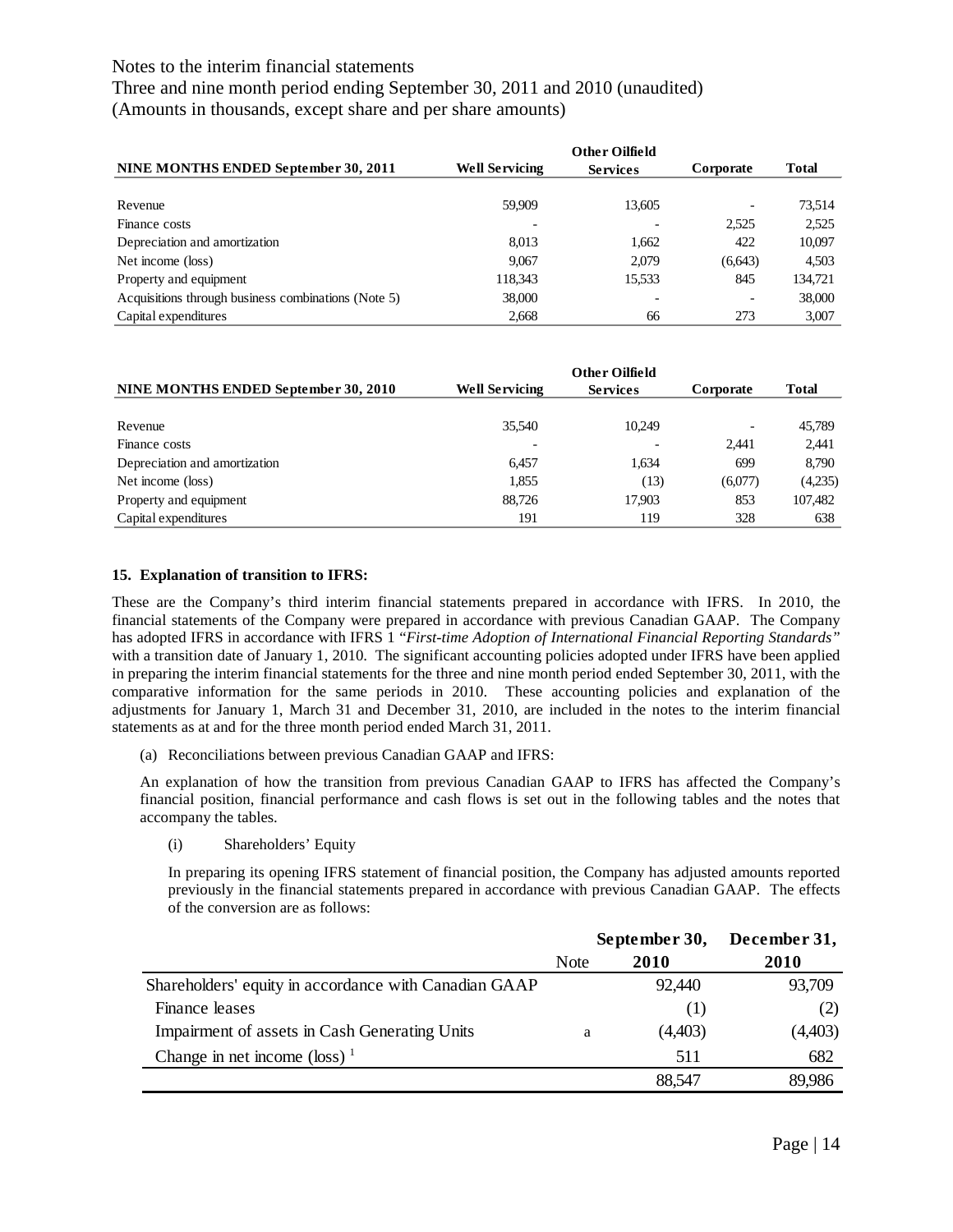Three and nine month period ending September 30, 2011 and 2010 (unaudited) (Amounts in thousands, except share and per share amounts)

| NINE MONTHS ENDED September 30, 2011                | <b>Well Servicing</b> | <b>Services</b> | Corporate | <b>Total</b> |
|-----------------------------------------------------|-----------------------|-----------------|-----------|--------------|
|                                                     |                       |                 |           |              |
| Revenue                                             | 59.909                | 13,605          |           | 73,514       |
| Finance costs                                       |                       |                 | 2,525     | 2.525        |
| Depreciation and amortization                       | 8.013                 | 1.662           | 422       | 10,097       |
| Net income (loss)                                   | 9.067                 | 2.079           | (6,643)   | 4,503        |
| Property and equipment                              | 118.343               | 15,533          | 845       | 134.721      |
| Acquisitions through business combinations (Note 5) | 38,000                |                 |           | 38,000       |
| Capital expenditures                                | 2.668                 | 66              | 273       | 3.007        |

| NINE MONTHS ENDED September 30, 2010 | <b>Well Servicing</b>    | <b>Services</b> | Corporate                | <b>Total</b> |
|--------------------------------------|--------------------------|-----------------|--------------------------|--------------|
|                                      |                          |                 |                          |              |
| Revenue                              | 35,540                   | 10,249          | $\overline{\phantom{0}}$ | 45,789       |
| Finance costs                        | $\overline{\phantom{0}}$ |                 | 2.441                    | 2.441        |
| Depreciation and amortization        | 6.457                    | 1.634           | 699                      | 8,790        |
| Net income (loss)                    | 1,855                    | (13)            | (6,077)                  | (4,235)      |
| Property and equipment               | 88,726                   | 17,903          | 853                      | 107,482      |
| Capital expenditures                 | 191                      | 119             | 328                      | 638          |

#### **15. Explanation of transition to IFRS:**

These are the Company's third interim financial statements prepared in accordance with IFRS. In 2010, the financial statements of the Company were prepared in accordance with previous Canadian GAAP. The Company has adopted IFRS in accordance with IFRS 1 "*First-time Adoption of International Financial Reporting Standards"*  with a transition date of January 1, 2010. The significant accounting policies adopted under IFRS have been applied in preparing the interim financial statements for the three and nine month period ended September 30, 2011, with the comparative information for the same periods in 2010. These accounting policies and explanation of the adjustments for January 1, March 31 and December 31, 2010, are included in the notes to the interim financial statements as at and for the three month period ended March 31, 2011.

(a) Reconciliations between previous Canadian GAAP and IFRS:

An explanation of how the transition from previous Canadian GAAP to IFRS has affected the Company's financial position, financial performance and cash flows is set out in the following tables and the notes that accompany the tables.

(i) Shareholders' Equity

In preparing its opening IFRS statement of financial position, the Company has adjusted amounts reported previously in the financial statements prepared in accordance with previous Canadian GAAP. The effects of the conversion are as follows:

|                                                       | September 30, |         | December 31, |
|-------------------------------------------------------|---------------|---------|--------------|
|                                                       | <b>Note</b>   | 2010    | 2010         |
| Shareholders' equity in accordance with Canadian GAAP |               | 92,440  | 93,709       |
| Finance leases                                        |               | (1)     | (2)          |
| Impairment of assets in Cash Generating Units         | a             | (4,403) | (4,403)      |
| Change in net income $(\text{loss})$ <sup>1</sup>     |               | 511     | 682          |
|                                                       |               | 88,547  | 89,986       |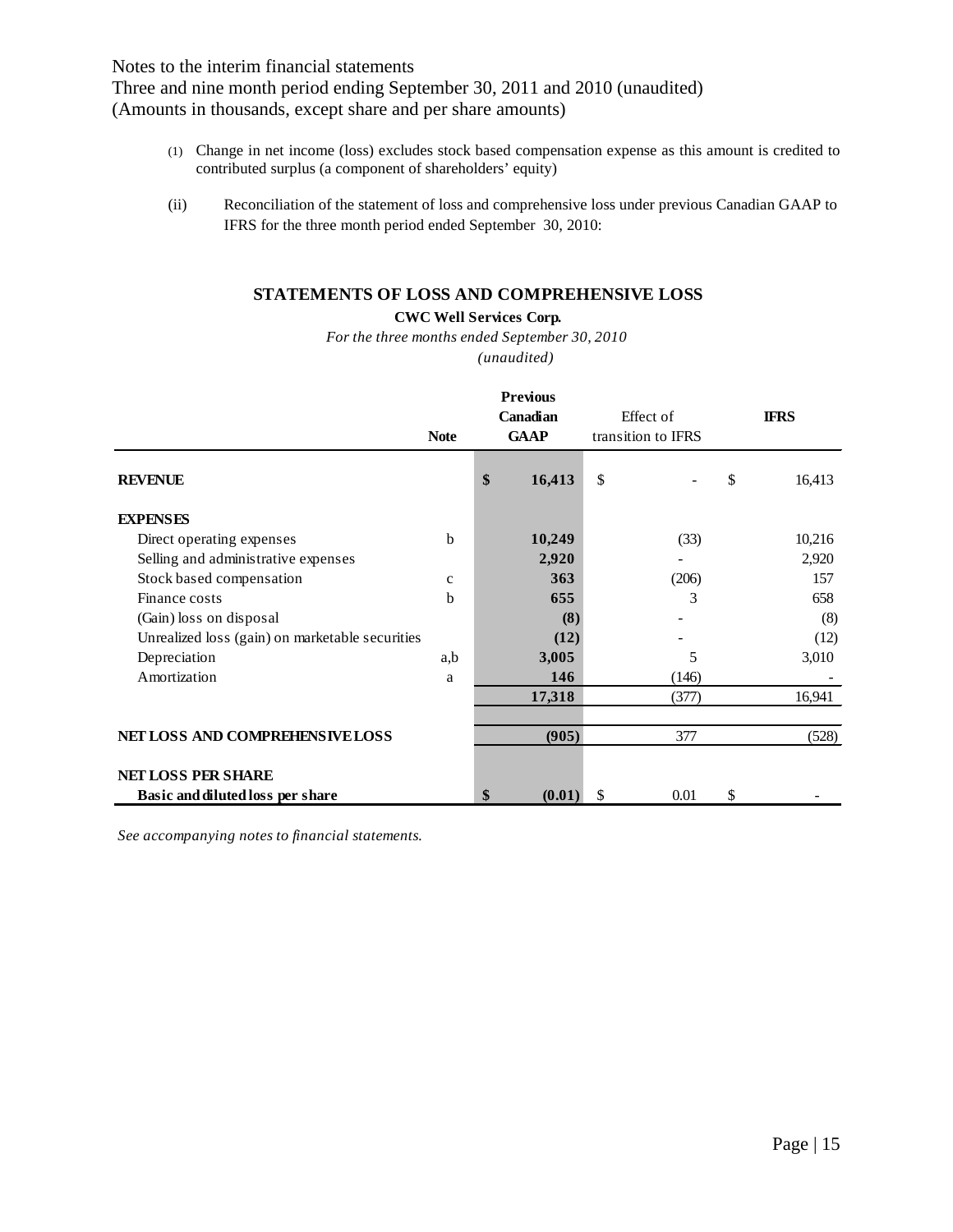Three and nine month period ending September 30, 2011 and 2010 (unaudited) (Amounts in thousands, except share and per share amounts)

- (1) Change in net income (loss) excludes stock based compensation expense as this amount is credited to contributed surplus (a component of shareholders' equity)
- (ii) Reconciliation of the statement of loss and comprehensive loss under previous Canadian GAAP to IFRS for the three month period ended September 30, 2010:

## **STATEMENTS OF LOSS AND COMPREHENSIVE LOSS**

### **CWC Well Services Corp.**

*For the three months ended September 30, 2010*

*(unaudited)*

|                                                 | <b>Note</b> | <b>Previous</b><br>Canadian<br><b>GAAP</b> | Effect of<br>transition to IFRS |       | <b>IFRS</b>  |
|-------------------------------------------------|-------------|--------------------------------------------|---------------------------------|-------|--------------|
| <b>REVENUE</b>                                  |             | \$<br>16,413                               | \$                              |       | \$<br>16,413 |
| <b>EXPENSES</b>                                 |             |                                            |                                 |       |              |
| Direct operating expenses                       | b           | 10,249                                     |                                 | (33)  | 10,216       |
| Selling and administrative expenses             |             | 2,920                                      |                                 |       | 2,920        |
| Stock based compensation                        | $\mathbf c$ | 363                                        |                                 | (206) | 157          |
| Finance costs                                   | b           | 655                                        |                                 | 3     | 658          |
| (Gain) loss on disposal                         |             | (8)                                        |                                 |       | (8)          |
| Unrealized loss (gain) on marketable securities |             | (12)                                       |                                 |       | (12)         |
| Depreciation                                    | a,b         | 3,005                                      |                                 | 5     | 3,010        |
| Amortization                                    | a           | 146                                        |                                 | (146) |              |
|                                                 |             | 17,318                                     |                                 | (377) | 16,941       |
| NET LOSS AND COMPREHENSIVE LOSS                 |             | (905)                                      |                                 | 377   | (528)        |
| <b>NET LOSS PER SHARE</b>                       |             |                                            |                                 |       |              |
| Basic and diluted loss per share                |             | \$<br>(0.01)                               | \$                              | 0.01  | \$           |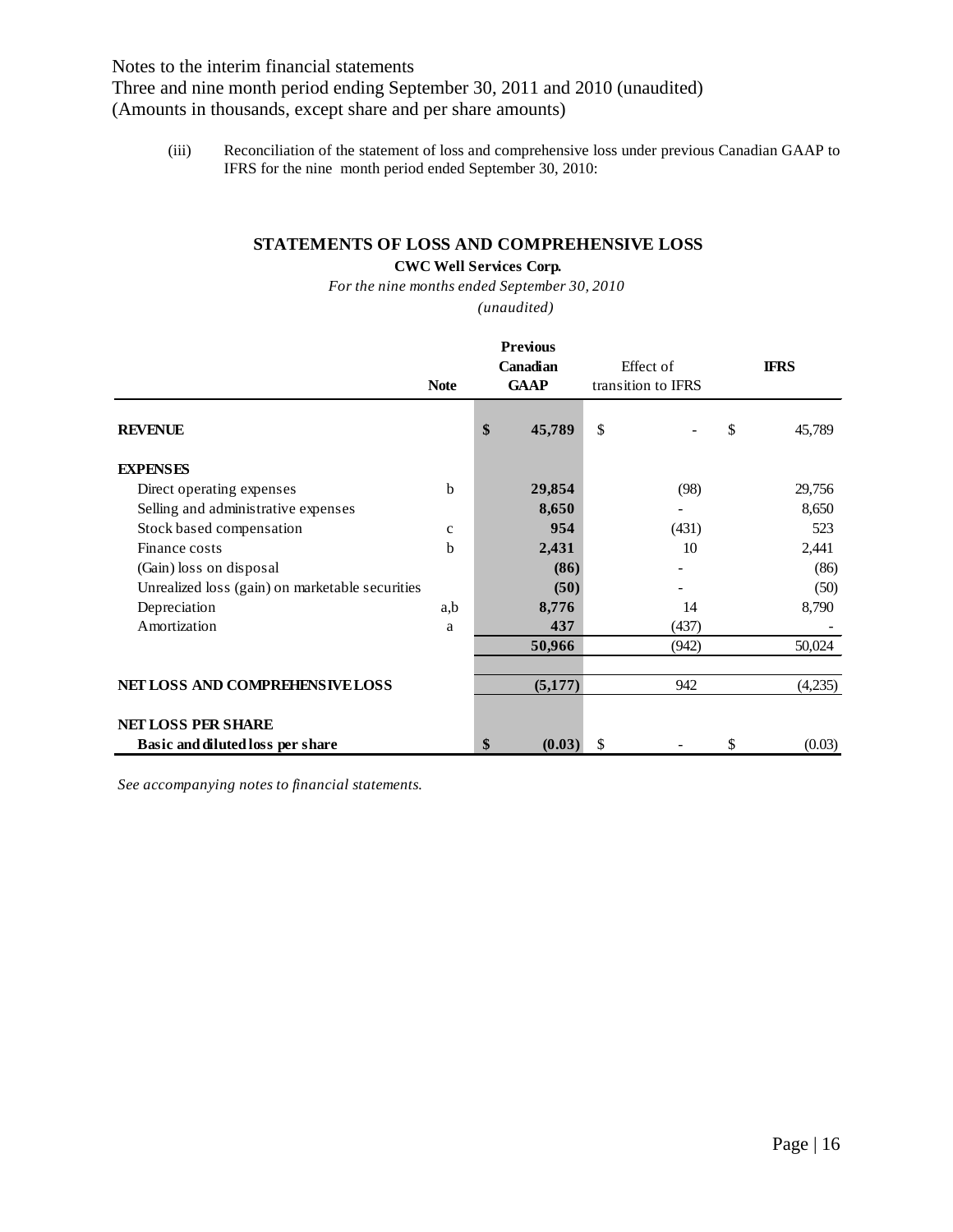Three and nine month period ending September 30, 2011 and 2010 (unaudited) (Amounts in thousands, except share and per share amounts)

(iii) Reconciliation of the statement of loss and comprehensive loss under previous Canadian GAAP to IFRS for the nine month period ended September 30, 2010:

# **STATEMENTS OF LOSS AND COMPREHENSIVE LOSS**

# **CWC Well Services Corp.**

*(unaudited) For the nine months ended September 30, 2010*

|                                                 |              | <b>Previous</b><br>Canadian<br><b>GAAP</b> |         | Effect of<br>transition to IFRS | <b>IFRS</b> |         |
|-------------------------------------------------|--------------|--------------------------------------------|---------|---------------------------------|-------------|---------|
| <b>REVENUE</b>                                  |              | \$                                         | 45,789  | \$                              | \$          | 45,789  |
| <b>EXPENSES</b>                                 |              |                                            |         |                                 |             |         |
| Direct operating expenses                       | $\mathbf b$  |                                            | 29,854  | (98)                            |             | 29,756  |
| Selling and administrative expenses             |              |                                            | 8,650   |                                 |             | 8,650   |
| Stock based compensation                        | $\mathbf{C}$ |                                            | 954     | (431)                           |             | 523     |
| Finance costs                                   | $\mathbf b$  |                                            | 2,431   | 10                              |             | 2,441   |
| (Gain) loss on disposal                         |              |                                            | (86)    |                                 |             | (86)    |
| Unrealized loss (gain) on marketable securities |              |                                            | (50)    |                                 |             | (50)    |
| Depreciation                                    | a,b          |                                            | 8,776   | 14                              |             | 8,790   |
| Amortization                                    | a            |                                            | 437     | (437)                           |             |         |
|                                                 |              |                                            | 50,966  | (942)                           |             | 50,024  |
| NET LOSS AND COMPREHENSIVE LOSS                 |              |                                            | (5,177) | 942                             |             | (4,235) |
| <b>NET LOSS PER SHARE</b>                       |              |                                            |         |                                 |             |         |
| Basic and diluted loss per share                |              | \$                                         | (0.03)  | \$                              | \$          | (0.03)  |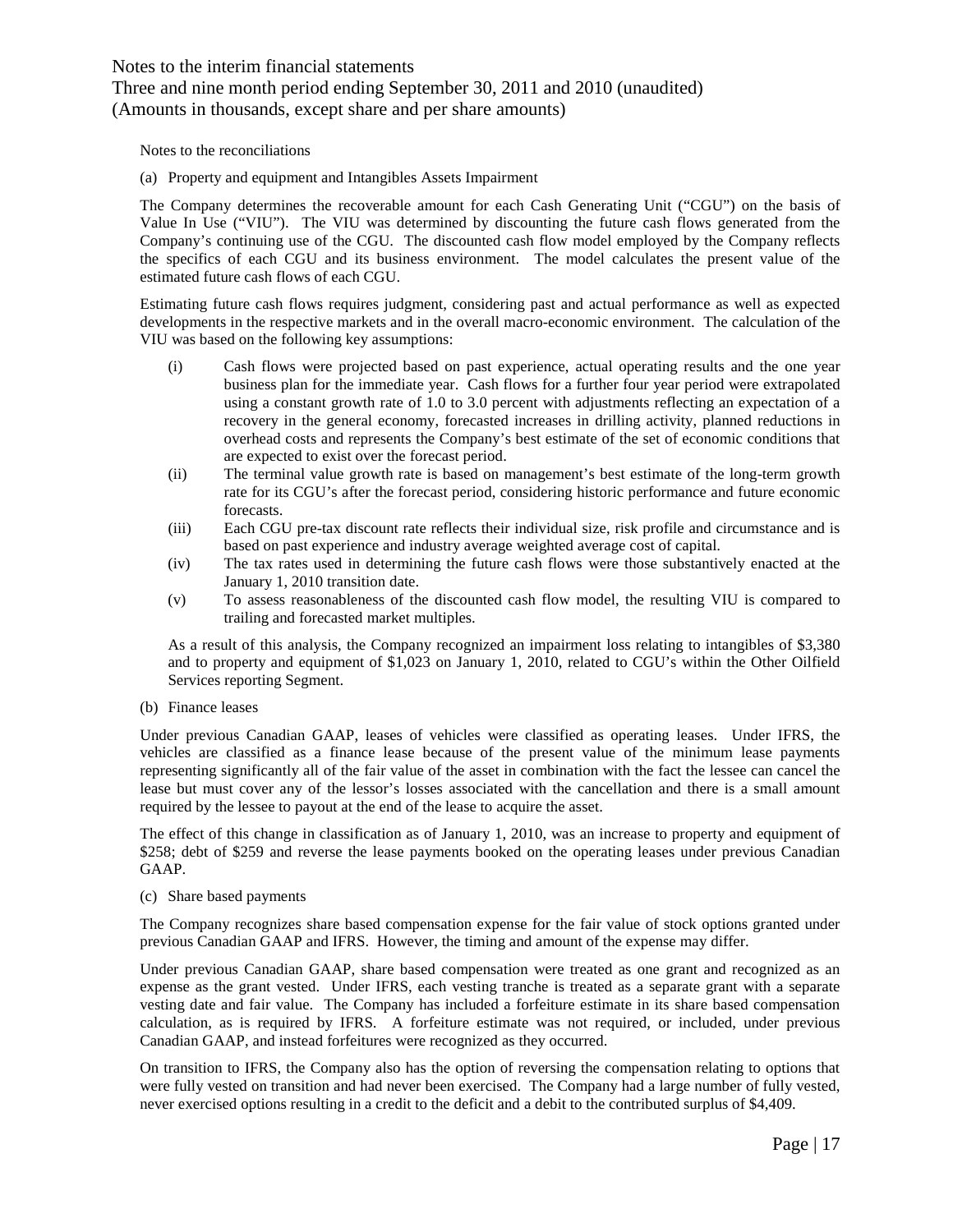# Three and nine month period ending September 30, 2011 and 2010 (unaudited) (Amounts in thousands, except share and per share amounts)

Notes to the reconciliations

(a) Property and equipment and Intangibles Assets Impairment

The Company determines the recoverable amount for each Cash Generating Unit ("CGU") on the basis of Value In Use ("VIU"). The VIU was determined by discounting the future cash flows generated from the Company's continuing use of the CGU. The discounted cash flow model employed by the Company reflects the specifics of each CGU and its business environment. The model calculates the present value of the estimated future cash flows of each CGU.

Estimating future cash flows requires judgment, considering past and actual performance as well as expected developments in the respective markets and in the overall macro-economic environment. The calculation of the VIU was based on the following key assumptions:

- (i) Cash flows were projected based on past experience, actual operating results and the one year business plan for the immediate year. Cash flows for a further four year period were extrapolated using a constant growth rate of 1.0 to 3.0 percent with adjustments reflecting an expectation of a recovery in the general economy, forecasted increases in drilling activity, planned reductions in overhead costs and represents the Company's best estimate of the set of economic conditions that are expected to exist over the forecast period.
- (ii) The terminal value growth rate is based on management's best estimate of the long-term growth rate for its CGU's after the forecast period, considering historic performance and future economic forecasts.
- (iii) Each CGU pre-tax discount rate reflects their individual size, risk profile and circumstance and is based on past experience and industry average weighted average cost of capital.
- (iv) The tax rates used in determining the future cash flows were those substantively enacted at the January 1, 2010 transition date.
- (v) To assess reasonableness of the discounted cash flow model, the resulting VIU is compared to trailing and forecasted market multiples.

As a result of this analysis, the Company recognized an impairment loss relating to intangibles of \$3,380 and to property and equipment of \$1,023 on January 1, 2010, related to CGU's within the Other Oilfield Services reporting Segment.

#### (b) Finance leases

Under previous Canadian GAAP, leases of vehicles were classified as operating leases. Under IFRS, the vehicles are classified as a finance lease because of the present value of the minimum lease payments representing significantly all of the fair value of the asset in combination with the fact the lessee can cancel the lease but must cover any of the lessor's losses associated with the cancellation and there is a small amount required by the lessee to payout at the end of the lease to acquire the asset.

The effect of this change in classification as of January 1, 2010, was an increase to property and equipment of \$258; debt of \$259 and reverse the lease payments booked on the operating leases under previous Canadian GAAP.

(c) Share based payments

The Company recognizes share based compensation expense for the fair value of stock options granted under previous Canadian GAAP and IFRS. However, the timing and amount of the expense may differ.

Under previous Canadian GAAP, share based compensation were treated as one grant and recognized as an expense as the grant vested. Under IFRS, each vesting tranche is treated as a separate grant with a separate vesting date and fair value. The Company has included a forfeiture estimate in its share based compensation calculation, as is required by IFRS. A forfeiture estimate was not required, or included, under previous Canadian GAAP, and instead forfeitures were recognized as they occurred.

On transition to IFRS, the Company also has the option of reversing the compensation relating to options that were fully vested on transition and had never been exercised. The Company had a large number of fully vested, never exercised options resulting in a credit to the deficit and a debit to the contributed surplus of \$4,409.